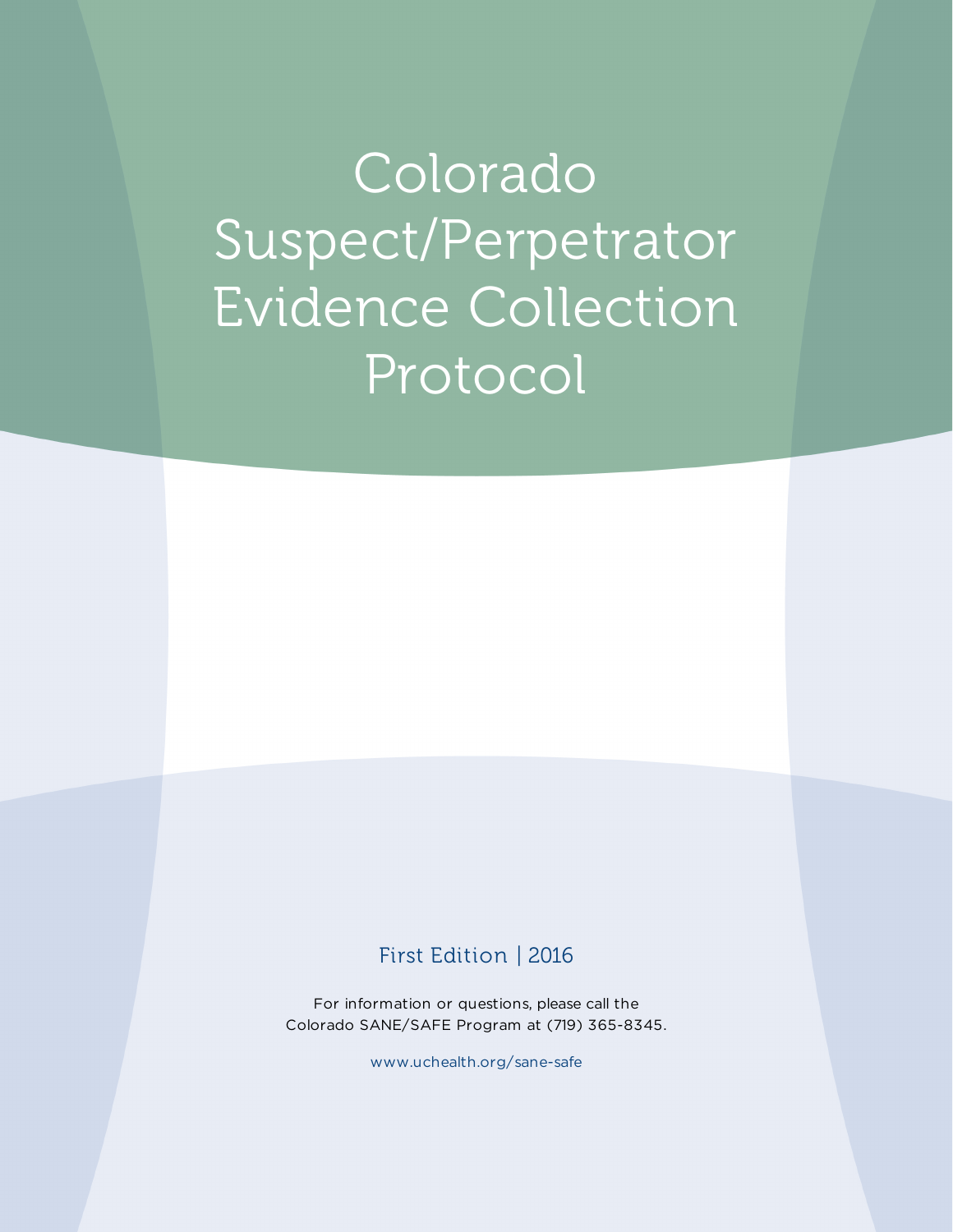Colorado Suspect/Perpetrator Evidence Collection Protocol

# First Edition | 2016

For information or questions, please call the Colorado SANE/SAFE Program at (719) 365-8345.

www.uchealth.org/sane-safe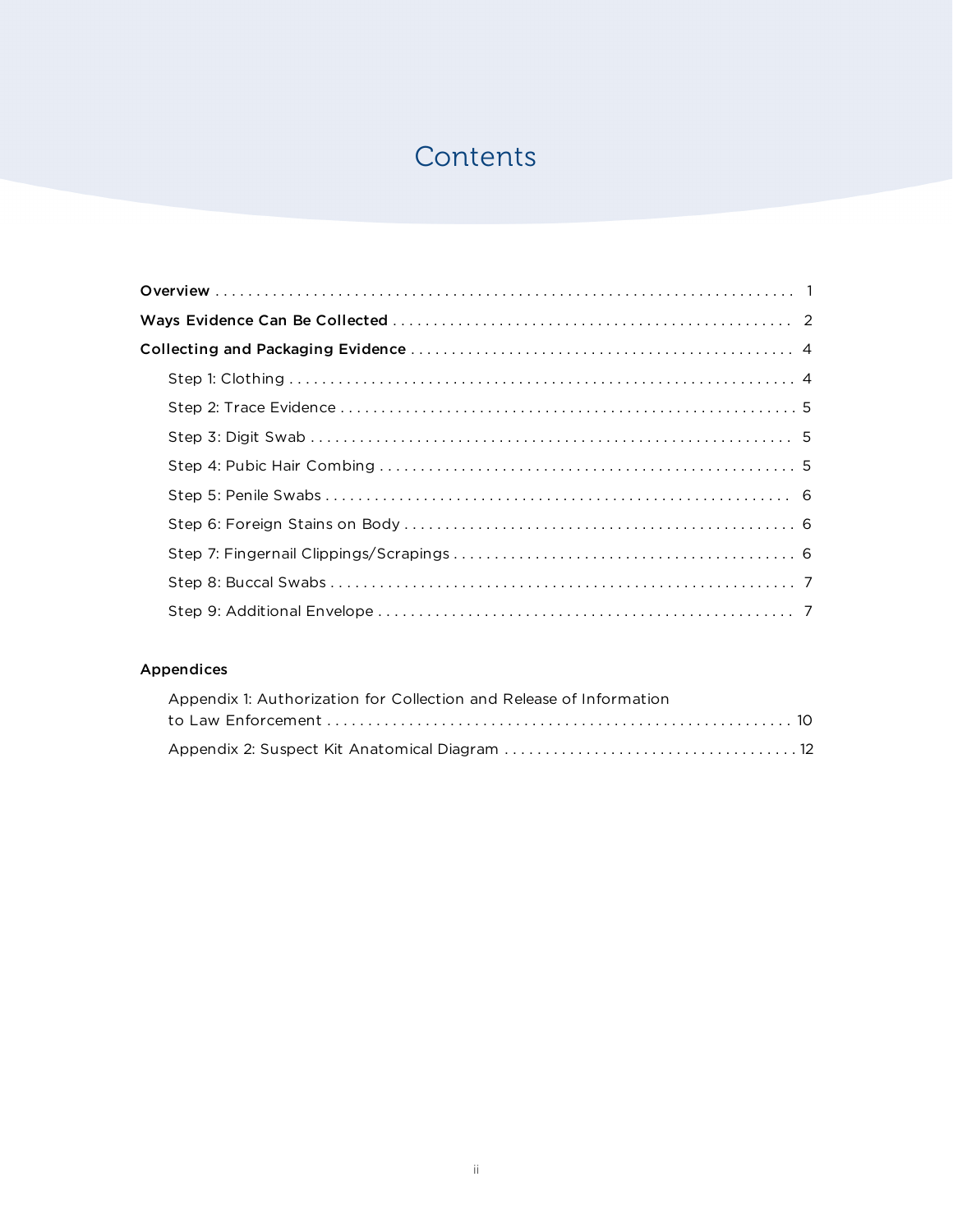# **Contents**

## Appendices

| Appendix 1: Authorization for Collection and Release of Information |  |
|---------------------------------------------------------------------|--|
|                                                                     |  |
|                                                                     |  |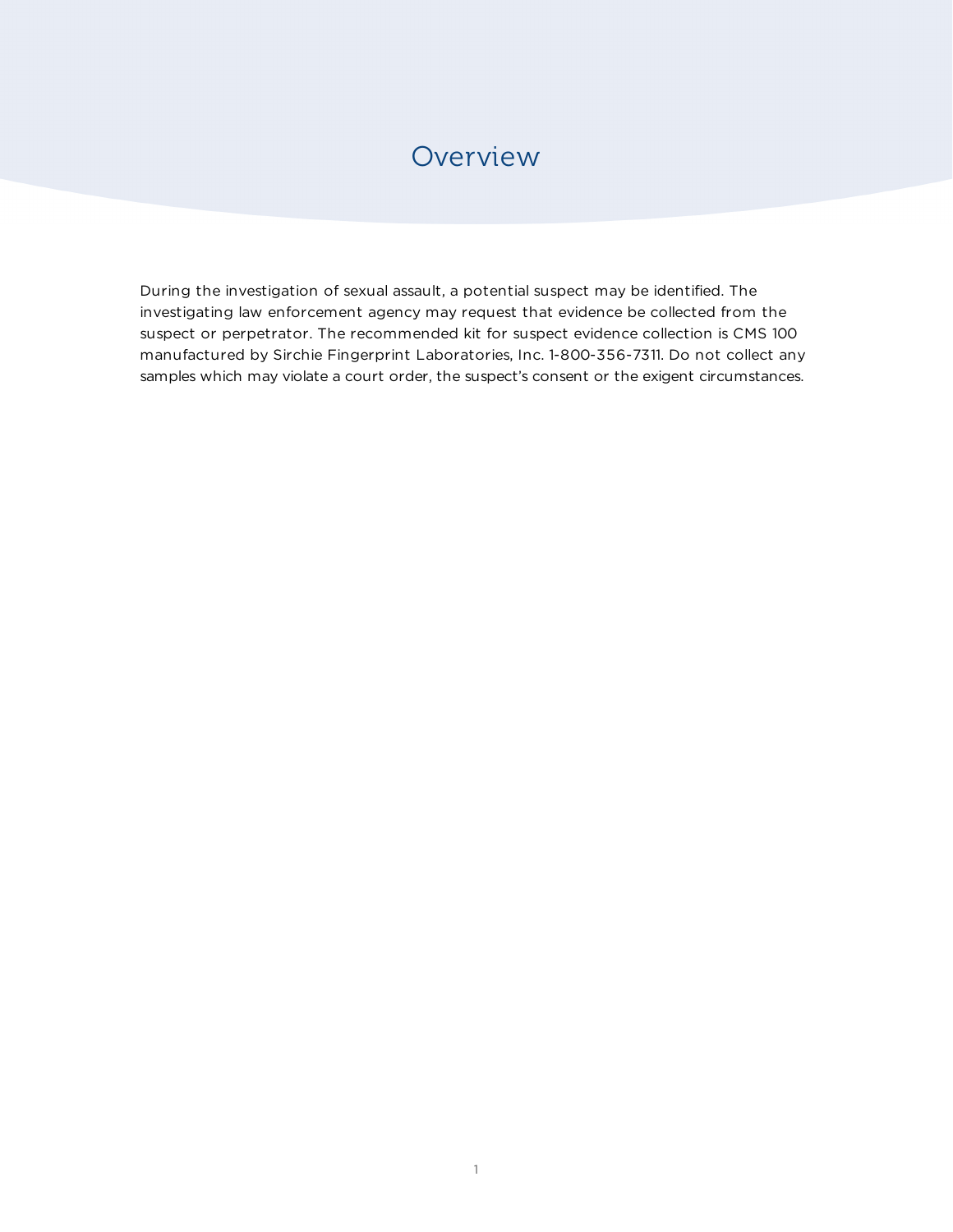# **Overview**

During the investigation of sexual assault, a potential suspect may be identified. The investigating law enforcement agency may request that evidence be collected from the suspect or perpetrator. The recommended kit for suspect evidence collection is CMS 100 manufactured by Sirchie Fingerprint Laboratories, Inc. 1-800-356-7311. Do not collect any samples which may violate a court order, the suspect's consent or the exigent circumstances.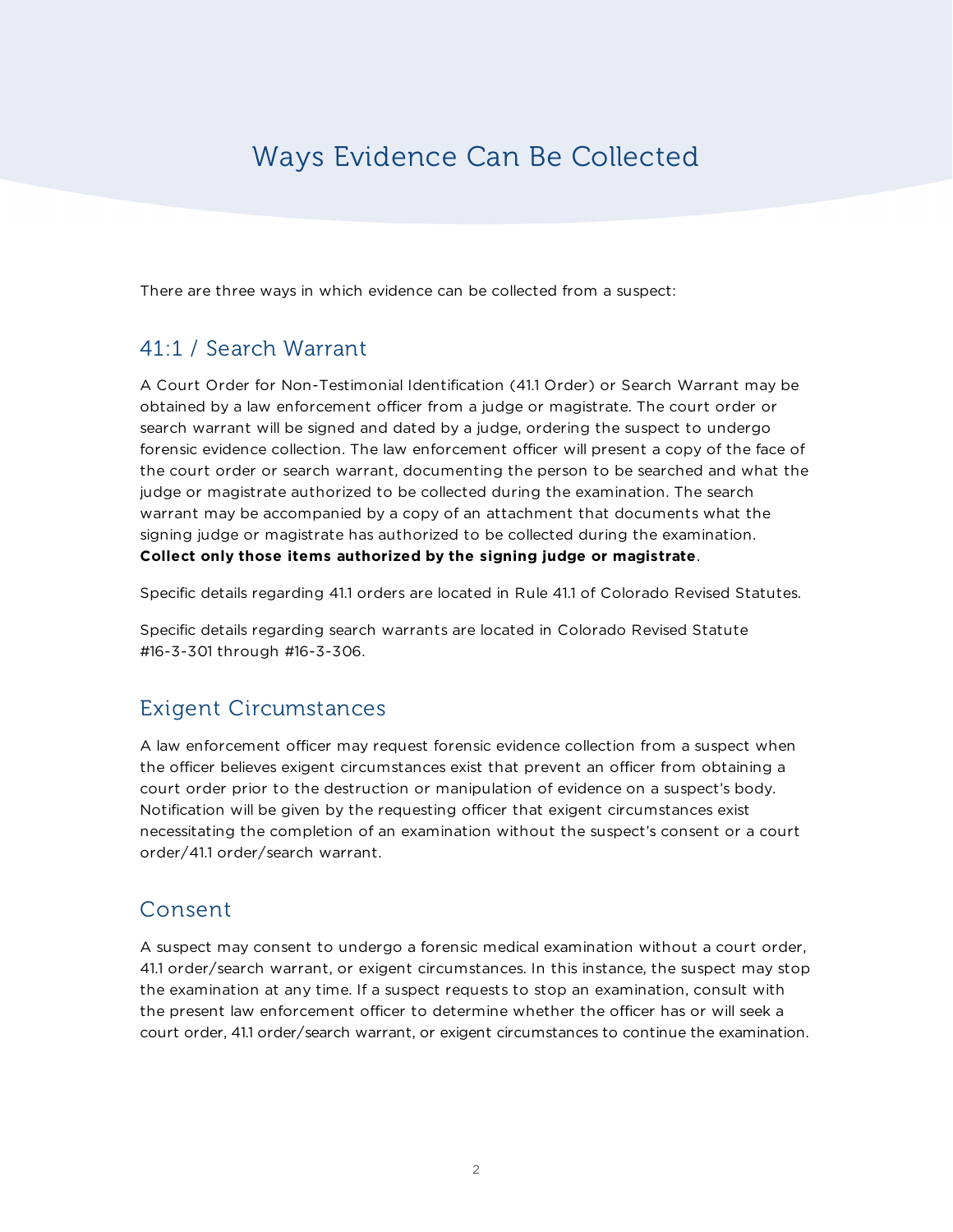# Ways Evidence Can Be Collected

There are three ways in which evidence can be collected from a suspect:

# 41:1 / Search Warrant

A Court Order for Non-Testimonial Identification (41.1 Order) or Search Warrant may be obtained by a law enforcement officer from a judge or magistrate. The court order or search warrant will be signed and dated by a judge, ordering the suspect to undergo forensic evidence collection. The law enforcement officer will present a copy of the face of the court order or search warrant, documenting the person to be searched and what the judge or magistrate authorized to be collected during the examination. The search warrant may be accompanied by a copy of an attachment that documents what the signing judge or magistrate has authorized to be collected during the examination. **Collect only those items authorized by the signing judge or magistrate**.

Specific details regarding 41.1 orders are located in Rule 41.1 of Colorado Revised Statutes.

Specific details regarding search warrants are located in Colorado Revised Statute #16-3-301 through #16-3-306.

# Exigent Circumstances

A law enforcement officer may request forensic evidence collection from a suspect when the officer believes exigent circumstances exist that prevent an officer from obtaining a court order prior to the destruction or manipulation of evidence on a suspect's body. Notification will be given by the requesting officer that exigent circumstances exist necessitating the completion of an examination without the suspect's consent or a court order/41.1 order/search warrant.

## Consent

A suspect may consent to undergo a forensic medical examination without a court order, 41.1 order/search warrant, or exigent circumstances. In this instance, the suspect may stop the examination at any time. If a suspect requests to stop an examination, consult with the present law enforcement officer to determine whether the officer has or will seek a court order, 41.1 order/search warrant, or exigent circumstances to continue the examination.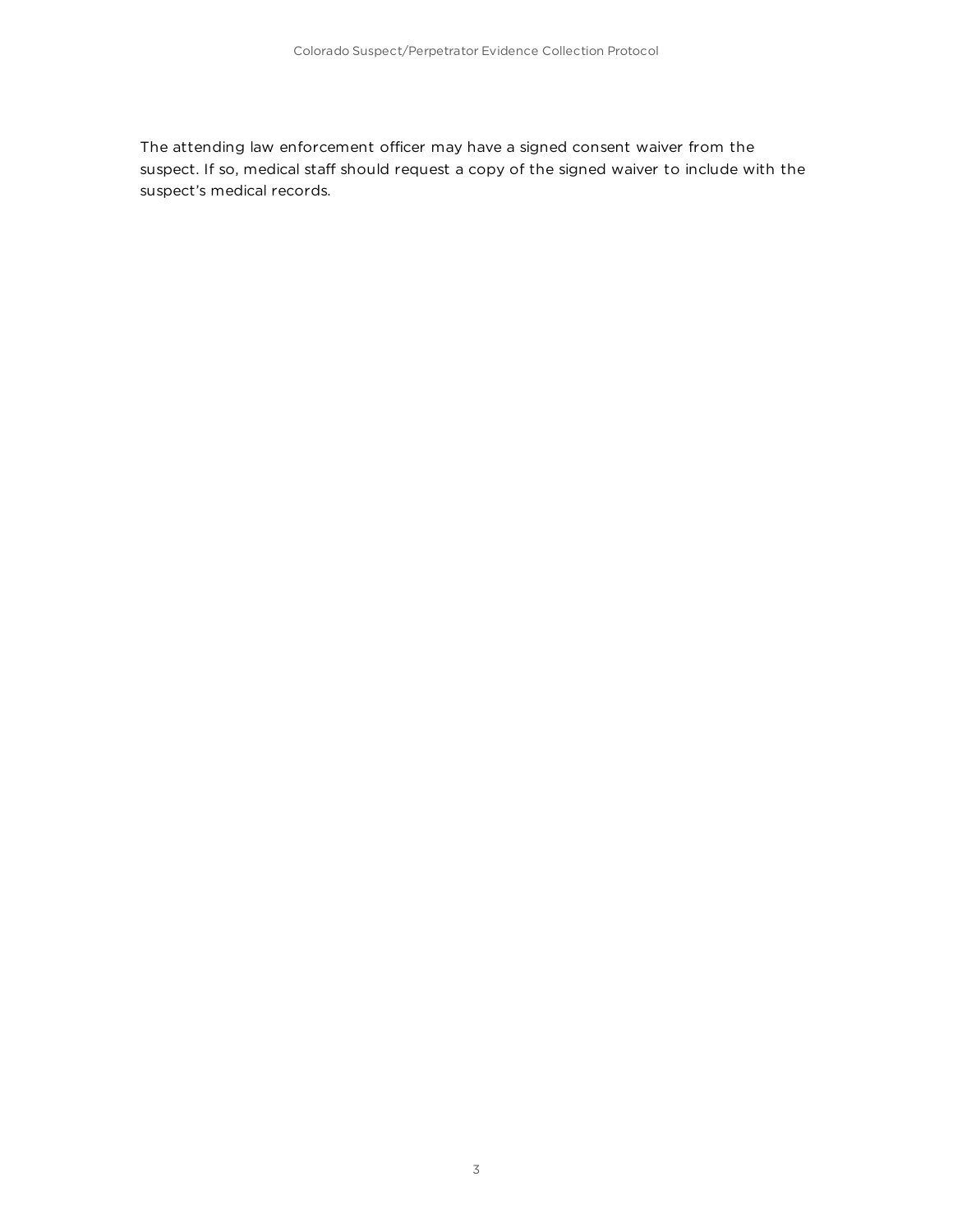The attending law enforcement officer may have a signed consent waiver from the suspect. If so, medical staff should request a copy of the signed waiver to include with the suspect's medical records.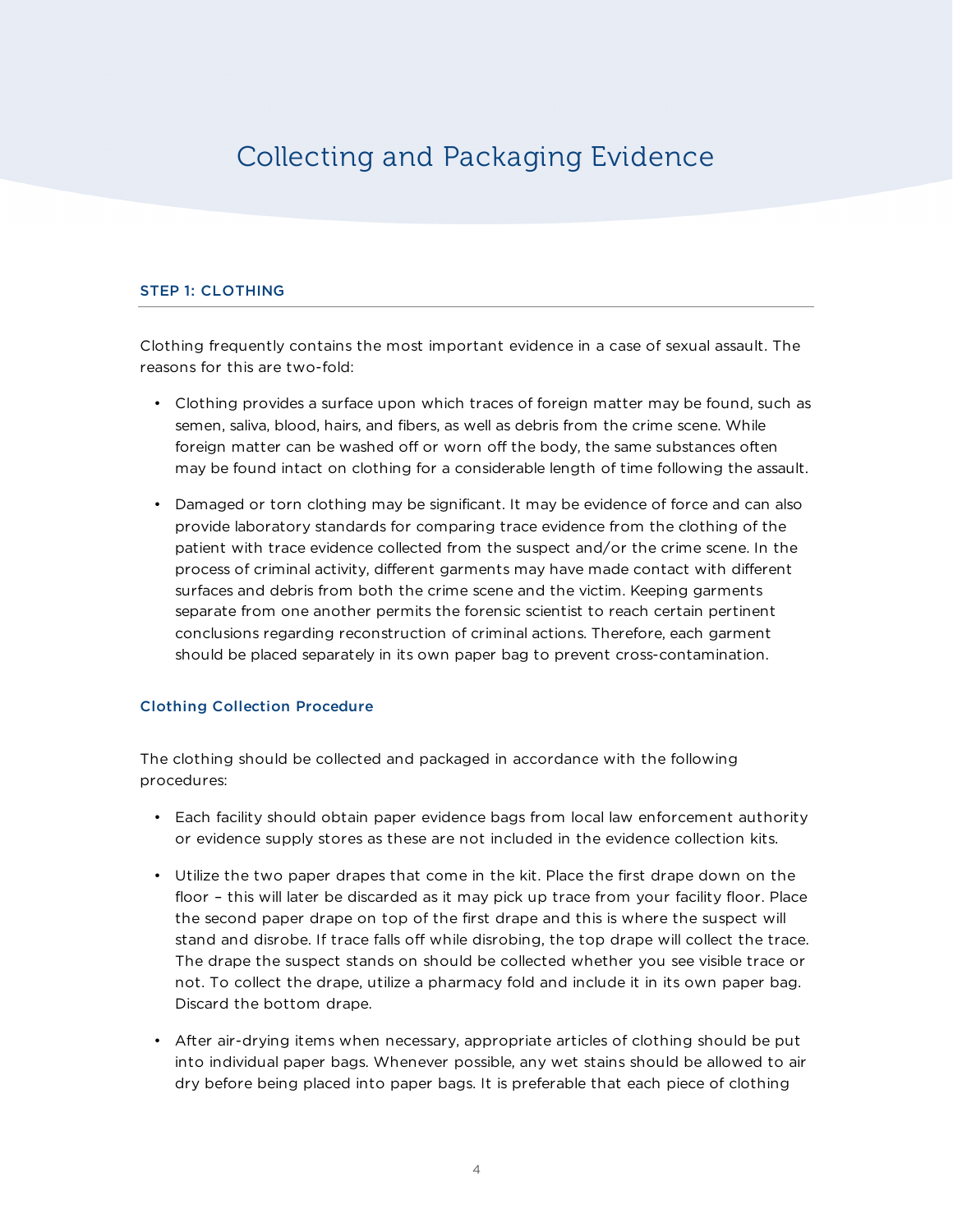# Collecting and Packaging Evidence

### STEP 1: CLOTHING

Clothing frequently contains the most important evidence in a case of sexual assault. The reasons for this are two-fold:

- Clothing provides a surface upon which traces of foreign matter may be found, such as semen, saliva, blood, hairs, and fibers, as well as debris from the crime scene. While foreign matter can be washed off or worn off the body, the same substances often may be found intact on clothing for a considerable length of time following the assault.
- Damaged or torn clothing may be significant. It may be evidence of force and can also provide laboratory standards for comparing trace evidence from the clothing of the patient with trace evidence collected from the suspect and/or the crime scene. In the process of criminal activity, different garments may have made contact with different surfaces and debris from both the crime scene and the victim. Keeping garments separate from one another permits the forensic scientist to reach certain pertinent conclusions regarding reconstruction of criminal actions. Therefore, each garment should be placed separately in its own paper bag to prevent cross-contamination.

### Clothing Collection Procedure

The clothing should be collected and packaged in accordance with the following procedures:

- Each facility should obtain paper evidence bags from local law enforcement authority or evidence supply stores as these are not included in the evidence collection kits.
- Utilize the two paper drapes that come in the kit. Place the first drape down on the floor – this will later be discarded as it may pick up trace from your facility floor. Place the second paper drape on top of the first drape and this is where the suspect will stand and disrobe. If trace falls off while disrobing, the top drape will collect the trace. The drape the suspect stands on should be collected whether you see visible trace or not. To collect the drape, utilize a pharmacy fold and include it in its own paper bag. Discard the bottom drape.
- After air-drying items when necessary, appropriate articles of clothing should be put into individual paper bags. Whenever possible, any wet stains should be allowed to air dry before being placed into paper bags. It is preferable that each piece of clothing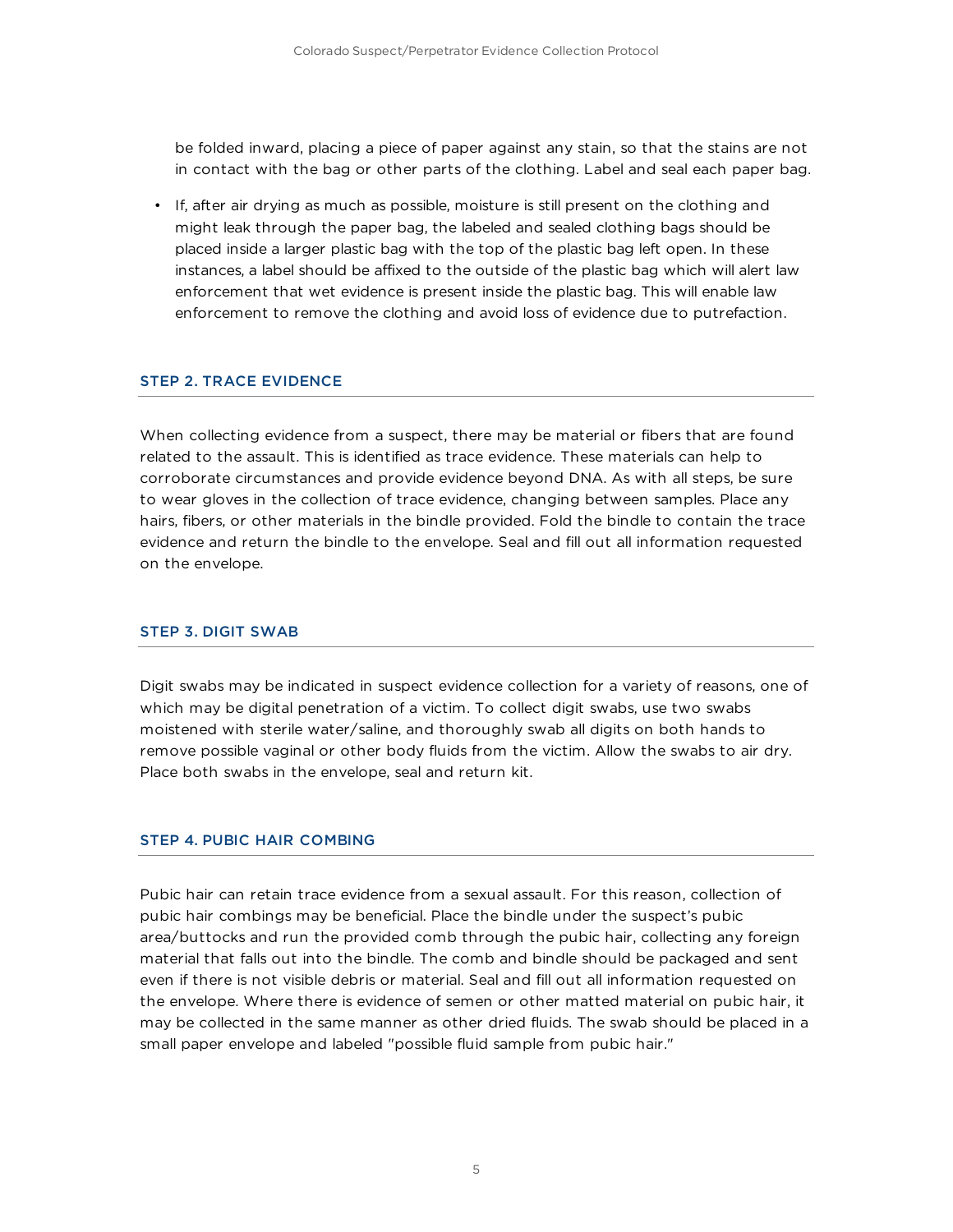be folded inward, placing a piece of paper against any stain, so that the stains are not in contact with the bag or other parts of the clothing. Label and seal each paper bag.

• If, after air drying as much as possible, moisture is still present on the clothing and might leak through the paper bag, the labeled and sealed clothing bags should be placed inside a larger plastic bag with the top of the plastic bag left open. In these instances, a label should be affixed to the outside of the plastic bag which will alert law enforcement that wet evidence is present inside the plastic bag. This will enable law enforcement to remove the clothing and avoid loss of evidence due to putrefaction.

## STEP 2. TRACE EVIDENCE

When collecting evidence from a suspect, there may be material or fibers that are found related to the assault. This is identified as trace evidence. These materials can help to corroborate circumstances and provide evidence beyond DNA. As with all steps, be sure to wear gloves in the collection of trace evidence, changing between samples. Place any hairs, fibers, or other materials in the bindle provided. Fold the bindle to contain the trace evidence and return the bindle to the envelope. Seal and fill out all information requested on the envelope.

#### STEP 3. DIGIT SWAB

Digit swabs may be indicated in suspect evidence collection for a variety of reasons, one of which may be digital penetration of a victim. To collect digit swabs, use two swabs moistened with sterile water/saline, and thoroughly swab all digits on both hands to remove possible vaginal or other body fluids from the victim. Allow the swabs to air dry. Place both swabs in the envelope, seal and return kit.

### STEP 4. PUBIC HAIR COMBING

Pubic hair can retain trace evidence from a sexual assault. For this reason, collection of pubic hair combings may be beneficial. Place the bindle under the suspect's pubic area/buttocks and run the provided comb through the pubic hair, collecting any foreign material that falls out into the bindle. The comb and bindle should be packaged and sent even if there is not visible debris or material. Seal and fill out all information requested on the envelope. Where there is evidence of semen or other matted material on pubic hair, it may be collected in the same manner as other dried fluids. The swab should be placed in a small paper envelope and labeled "possible fluid sample from pubic hair."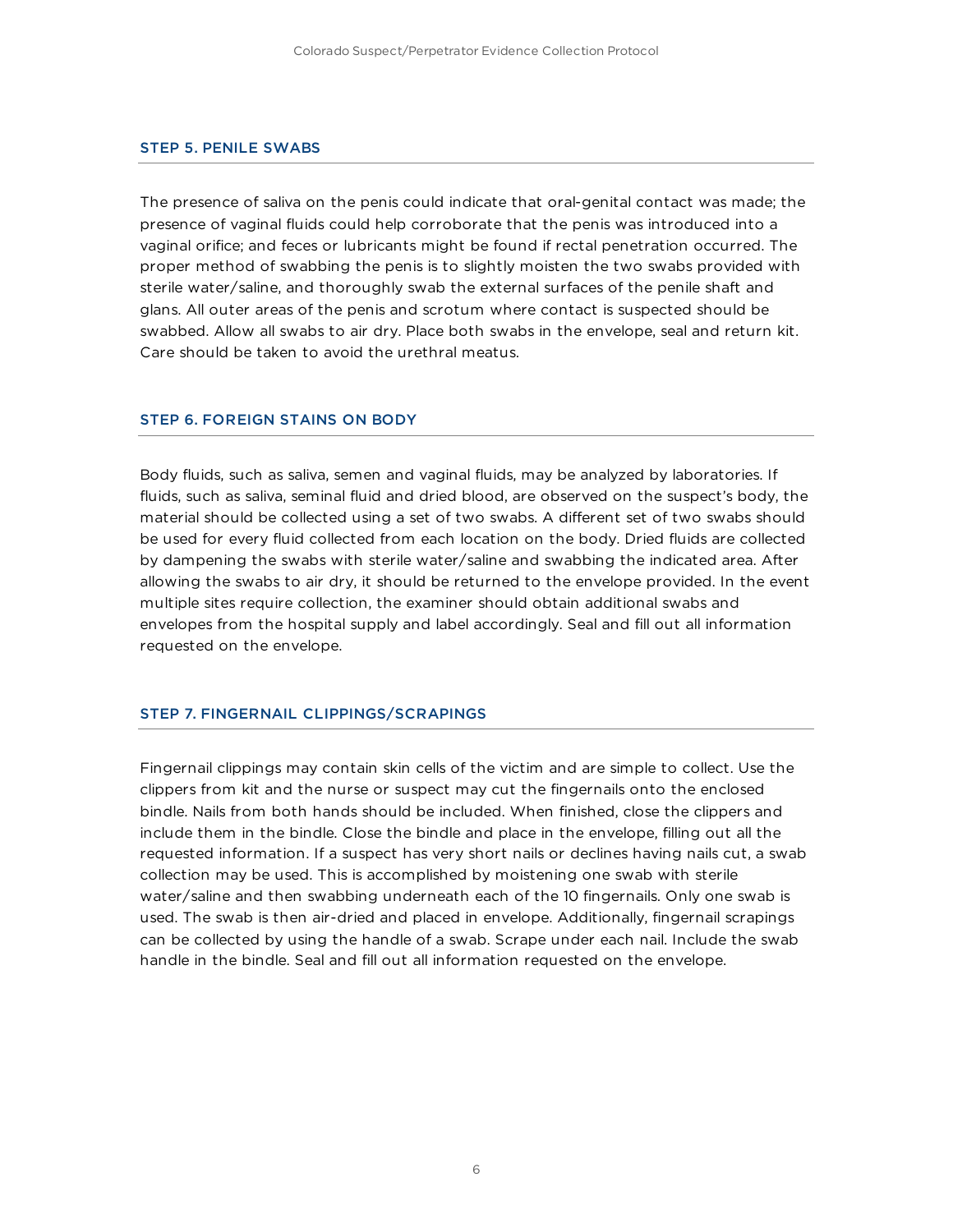#### STEP 5. PENILE SWABS

The presence of saliva on the penis could indicate that oral-genital contact was made; the presence of vaginal fluids could help corroborate that the penis was introduced into a vaginal orifice; and feces or lubricants might be found if rectal penetration occurred. The proper method of swabbing the penis is to slightly moisten the two swabs provided with sterile water/saline, and thoroughly swab the external surfaces of the penile shaft and glans. All outer areas of the penis and scrotum where contact is suspected should be swabbed. Allow all swabs to air dry. Place both swabs in the envelope, seal and return kit. Care should be taken to avoid the urethral meatus.

### STEP 6. FOREIGN STAINS ON BODY

Body fluids, such as saliva, semen and vaginal fluids, may be analyzed by laboratories. If fluids, such as saliva, seminal fluid and dried blood, are observed on the suspect's body, the material should be collected using a set of two swabs. A different set of two swabs should be used for every fluid collected from each location on the body. Dried fluids are collected by dampening the swabs with sterile water/saline and swabbing the indicated area. After allowing the swabs to air dry, it should be returned to the envelope provided. In the event multiple sites require collection, the examiner should obtain additional swabs and envelopes from the hospital supply and label accordingly. Seal and fill out all information requested on the envelope.

#### STEP 7. FINGERNAIL CLIPPINGS/SCRAPINGS

Fingernail clippings may contain skin cells of the victim and are simple to collect. Use the clippers from kit and the nurse or suspect may cut the fingernails onto the enclosed bindle. Nails from both hands should be included. When finished, close the clippers and include them in the bindle. Close the bindle and place in the envelope, filling out all the requested information. If a suspect has very short nails or declines having nails cut, a swab collection may be used. This is accomplished by moistening one swab with sterile water/saline and then swabbing underneath each of the 10 fingernails. Only one swab is used. The swab is then air-dried and placed in envelope. Additionally, fingernail scrapings can be collected by using the handle of a swab. Scrape under each nail. Include the swab handle in the bindle. Seal and fill out all information requested on the envelope.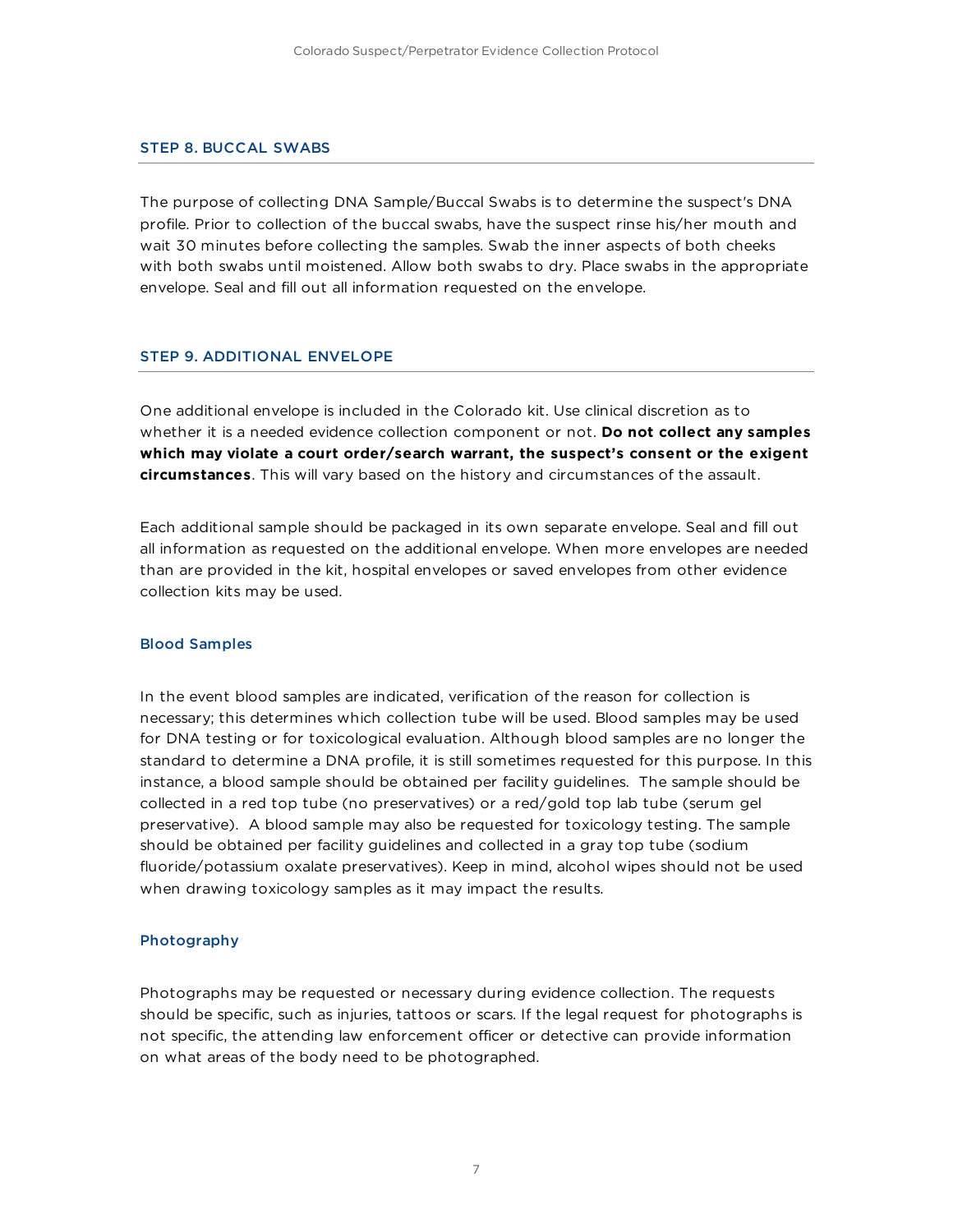#### STEP 8. BUCCAL SWABS

The purpose of collecting DNA Sample/Buccal Swabs is to determine the suspect's DNA profile. Prior to collection of the buccal swabs, have the suspect rinse his/her mouth and wait 30 minutes before collecting the samples. Swab the inner aspects of both cheeks with both swabs until moistened. Allow both swabs to dry. Place swabs in the appropriate envelope. Seal and fill out all information requested on the envelope.

#### STEP 9. ADDITIONAL ENVELOPE

One additional envelope is included in the Colorado kit. Use clinical discretion as to whether it is a needed evidence collection component or not. **Do not collect any samples which may violate a court order/search warrant, the suspect's consent or the exigent circumstances**. This will vary based on the history and circumstances of the assault.

Each additional sample should be packaged in its own separate envelope. Seal and fill out all information as requested on the additional envelope. When more envelopes are needed than are provided in the kit, hospital envelopes or saved envelopes from other evidence collection kits may be used.

#### Blood Samples

In the event blood samples are indicated, verification of the reason for collection is necessary; this determines which collection tube will be used. Blood samples may be used for DNA testing or for toxicological evaluation. Although blood samples are no longer the standard to determine a DNA profile, it is still sometimes requested for this purpose. In this instance, a blood sample should be obtained per facility guidelines. The sample should be collected in a red top tube (no preservatives) or a red/gold top lab tube (serum gel preservative). A blood sample may also be requested for toxicology testing. The sample should be obtained per facility guidelines and collected in a gray top tube (sodium fluoride/potassium oxalate preservatives). Keep in mind, alcohol wipes should not be used when drawing toxicology samples as it may impact the results.

#### Photography

Photographs may be requested or necessary during evidence collection. The requests should be specific, such as injuries, tattoos or scars. If the legal request for photographs is not specific, the attending law enforcement officer or detective can provide information on what areas of the body need to be photographed.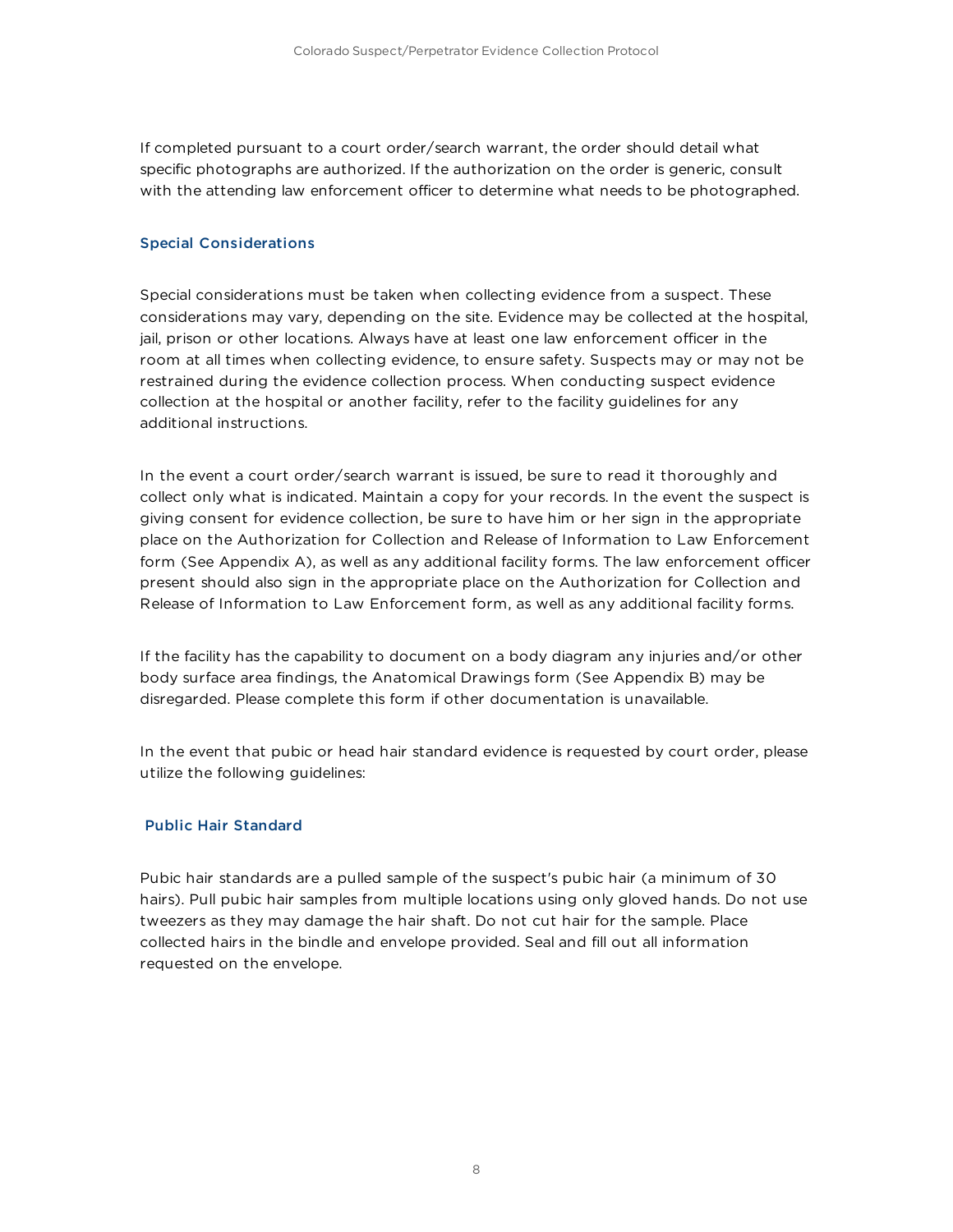If completed pursuant to a court order/search warrant, the order should detail what specific photographs are authorized. If the authorization on the order is generic, consult with the attending law enforcement officer to determine what needs to be photographed.

### Special Considerations

Special considerations must be taken when collecting evidence from a suspect. These considerations may vary, depending on the site. Evidence may be collected at the hospital, jail, prison or other locations. Always have at least one law enforcement officer in the room at all times when collecting evidence, to ensure safety. Suspects may or may not be restrained during the evidence collection process. When conducting suspect evidence collection at the hospital or another facility, refer to the facility guidelines for any additional instructions.

In the event a court order/search warrant is issued, be sure to read it thoroughly and collect only what is indicated. Maintain a copy for your records. In the event the suspect is giving consent for evidence collection, be sure to have him or her sign in the appropriate place on the Authorization for Collection and Release of Information to Law Enforcement form (See Appendix A), as well as any additional facility forms. The law enforcement officer present should also sign in the appropriate place on the Authorization for Collection and Release of Information to Law Enforcement form, as well as any additional facility forms.

If the facility has the capability to document on a body diagram any injuries and/or other body surface area findings, the Anatomical Drawings form (See Appendix B) may be disregarded. Please complete this form if other documentation is unavailable.

In the event that pubic or head hair standard evidence is requested by court order, please utilize the following guidelines:

### Public Hair Standard

Pubic hair standards are a pulled sample of the suspect's pubic hair (a minimum of 30 hairs). Pull pubic hair samples from multiple locations using only gloved hands. Do not use tweezers as they may damage the hair shaft. Do not cut hair for the sample. Place collected hairs in the bindle and envelope provided. Seal and fill out all information requested on the envelope.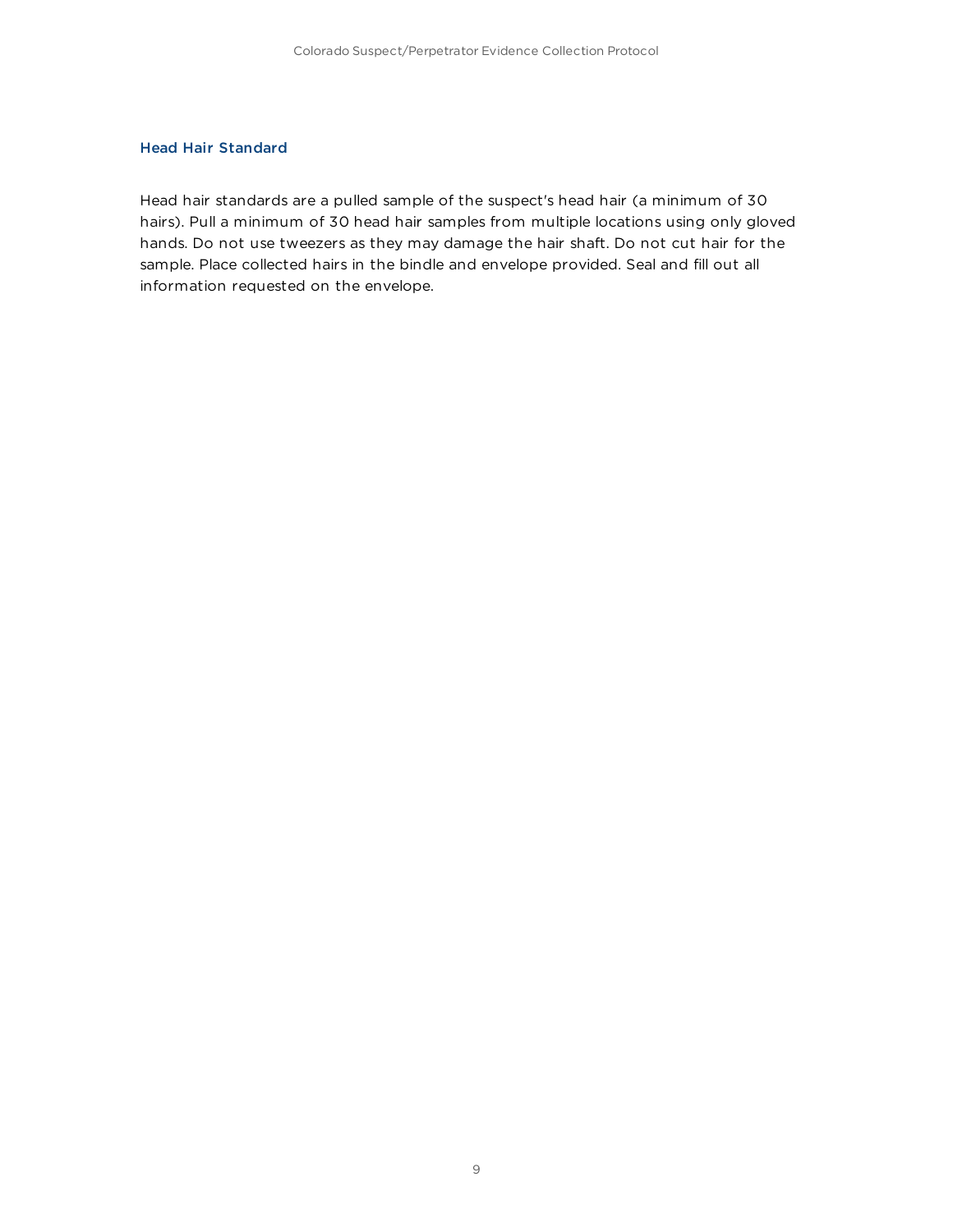### Head Hair Standard

Head hair standards are a pulled sample of the suspect's head hair (a minimum of 30 hairs). Pull a minimum of 30 head hair samples from multiple locations using only gloved hands. Do not use tweezers as they may damage the hair shaft. Do not cut hair for the sample. Place collected hairs in the bindle and envelope provided. Seal and fill out all information requested on the envelope.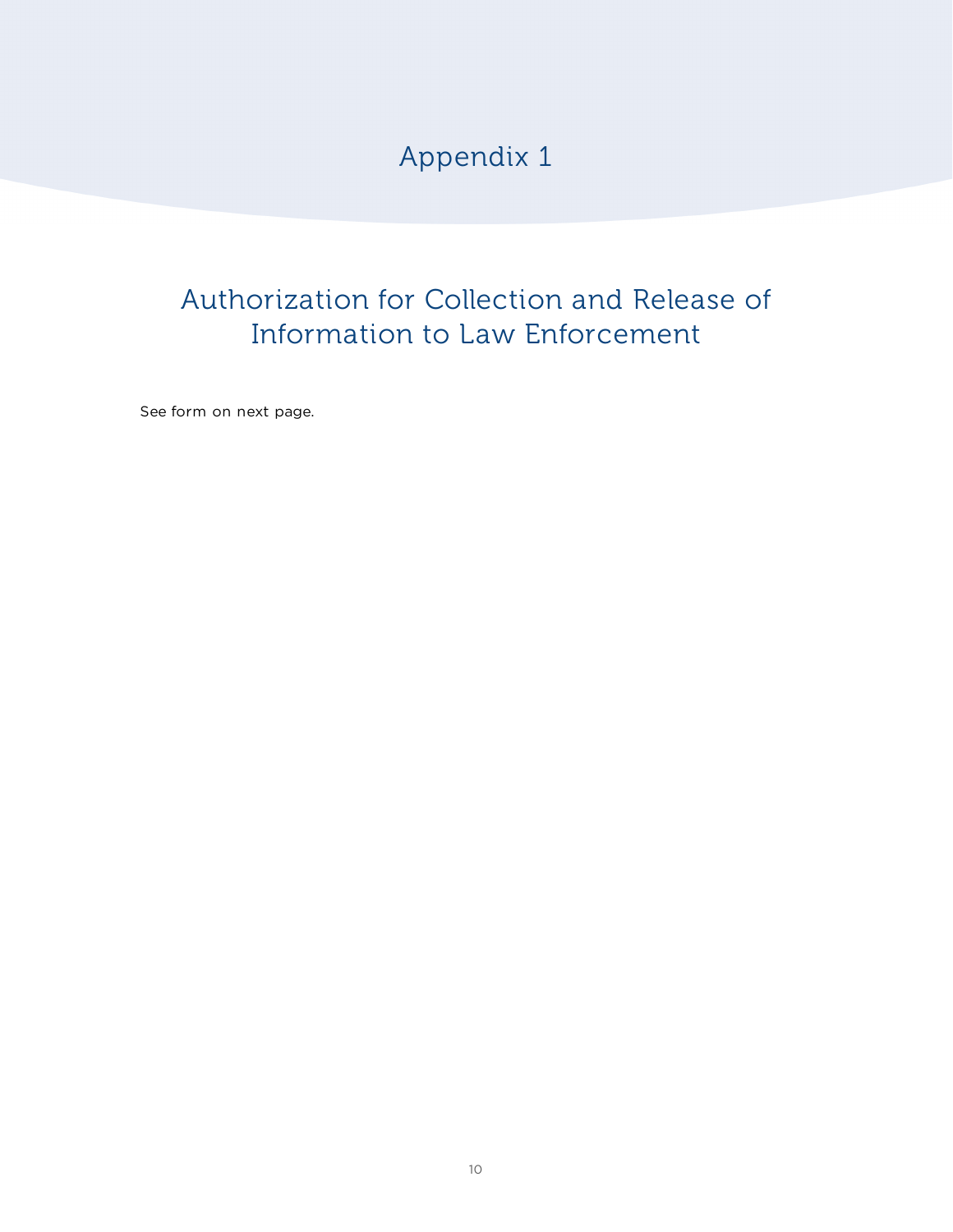Appendix 1

# Authorization for Collection and Release of Information to Law Enforcement

See form on next page.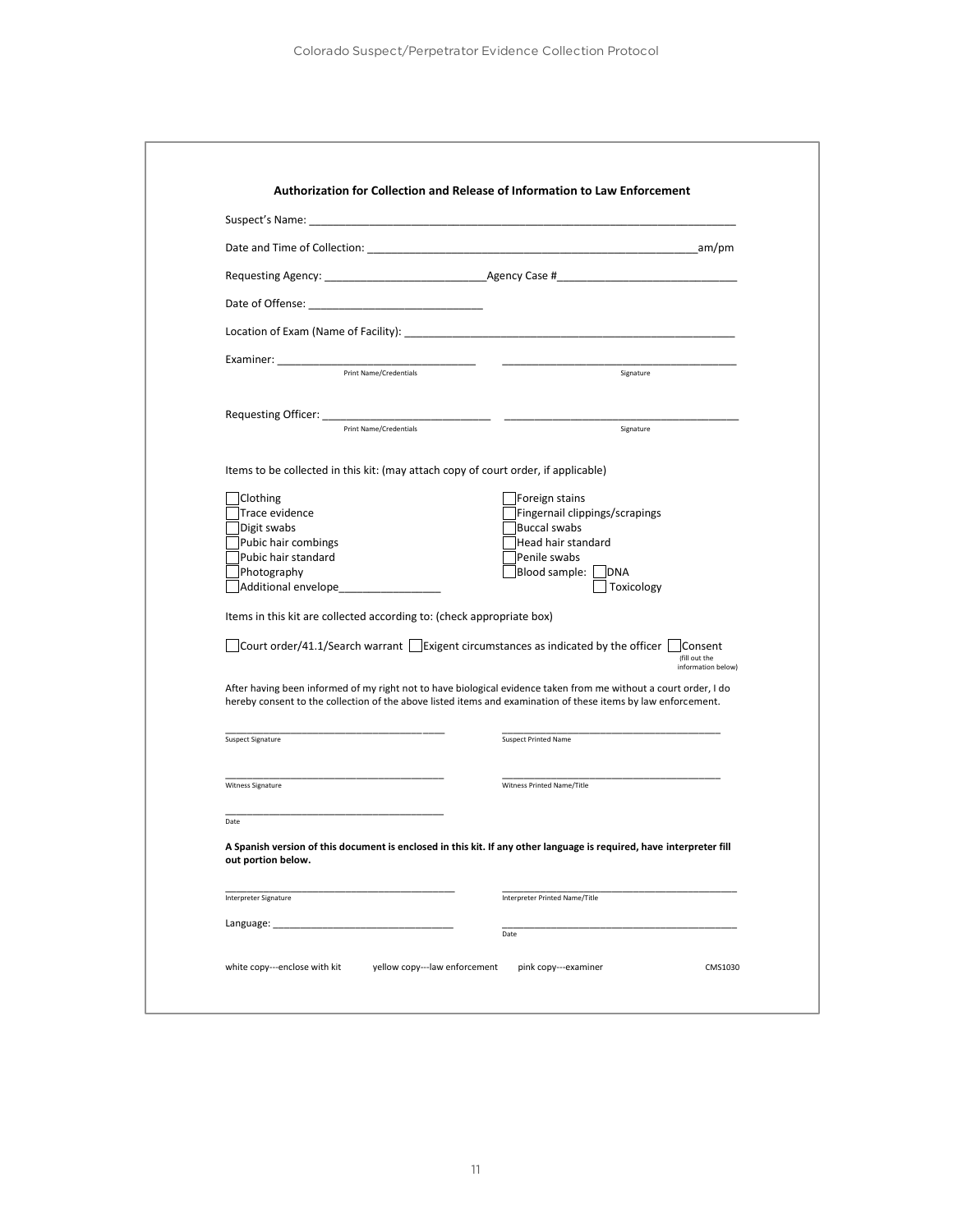| Date and Time of Collection: Note that the contract of the contract of the contract of the contract of the contract of the contract of the contract of the contract of the contract of the contract of the contract of the con | am/pm                                                                                                                                                                                                                             |
|--------------------------------------------------------------------------------------------------------------------------------------------------------------------------------------------------------------------------------|-----------------------------------------------------------------------------------------------------------------------------------------------------------------------------------------------------------------------------------|
|                                                                                                                                                                                                                                |                                                                                                                                                                                                                                   |
|                                                                                                                                                                                                                                |                                                                                                                                                                                                                                   |
| Location of Exam (Name of Facility): Location and Contract and Contract of Example 2014                                                                                                                                        |                                                                                                                                                                                                                                   |
|                                                                                                                                                                                                                                |                                                                                                                                                                                                                                   |
| Print Name/Credentials                                                                                                                                                                                                         | Signature                                                                                                                                                                                                                         |
|                                                                                                                                                                                                                                |                                                                                                                                                                                                                                   |
| Print Name/Credentials                                                                                                                                                                                                         | Signature                                                                                                                                                                                                                         |
| Items to be collected in this kit: (may attach copy of court order, if applicable)                                                                                                                                             |                                                                                                                                                                                                                                   |
| Clothing                                                                                                                                                                                                                       | Foreign stains                                                                                                                                                                                                                    |
| Trace evidence                                                                                                                                                                                                                 | Fingernail clippings/scrapings                                                                                                                                                                                                    |
| Digit swabs                                                                                                                                                                                                                    | <b>Buccal swabs</b>                                                                                                                                                                                                               |
| Pubic hair combings                                                                                                                                                                                                            | Head hair standard                                                                                                                                                                                                                |
| Pubic hair standard<br>Photography                                                                                                                                                                                             | Penile swabs<br>Blood sample:<br><b>DNA</b>                                                                                                                                                                                       |
| Additional envelope                                                                                                                                                                                                            | Toxicology                                                                                                                                                                                                                        |
| Items in this kit are collected according to: (check appropriate box)                                                                                                                                                          |                                                                                                                                                                                                                                   |
| Court order/41.1/Search warrant $\Box$ Exigent circumstances as indicated by the officer                                                                                                                                       | Consent<br>(fill out the<br>information below)                                                                                                                                                                                    |
|                                                                                                                                                                                                                                | After having been informed of my right not to have biological evidence taken from me without a court order, I do<br>hereby consent to the collection of the above listed items and examination of these items by law enforcement. |
| Suspect Signature                                                                                                                                                                                                              | <b>Suspect Printed Name</b>                                                                                                                                                                                                       |
| Witness Signature                                                                                                                                                                                                              | Witness Printed Name/Title                                                                                                                                                                                                        |
| Date                                                                                                                                                                                                                           |                                                                                                                                                                                                                                   |
| out portion below.                                                                                                                                                                                                             | A Spanish version of this document is enclosed in this kit. If any other language is required, have interpreter fill                                                                                                              |
| Interpreter Signature                                                                                                                                                                                                          | Interpreter Printed Name/Title                                                                                                                                                                                                    |
| Language:                                                                                                                                                                                                                      |                                                                                                                                                                                                                                   |
|                                                                                                                                                                                                                                | Date                                                                                                                                                                                                                              |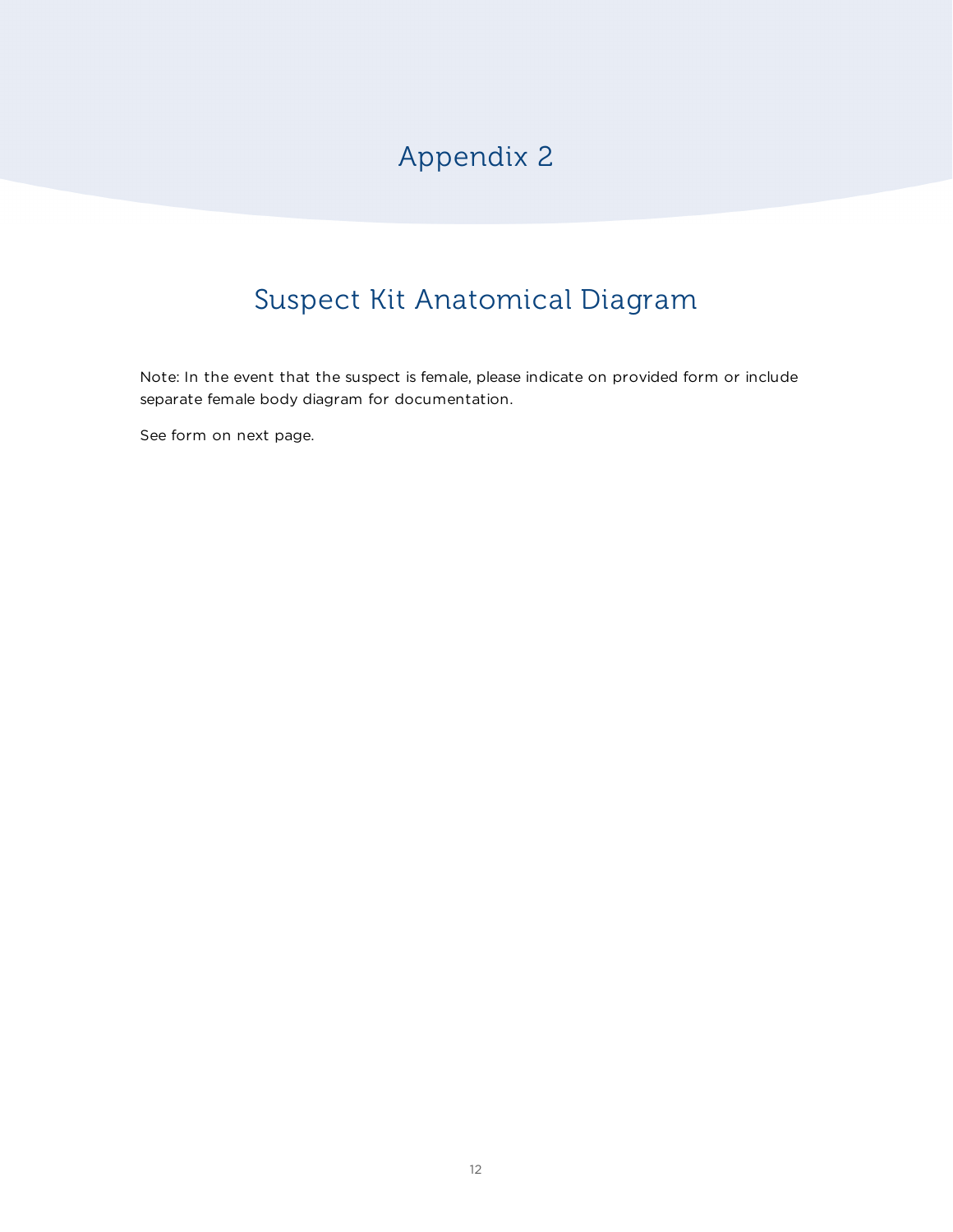# Appendix 2

# Suspect Kit Anatomical Diagram

Note: In the event that the suspect is female, please indicate on provided form or include separate female body diagram for documentation.

See form on next page.